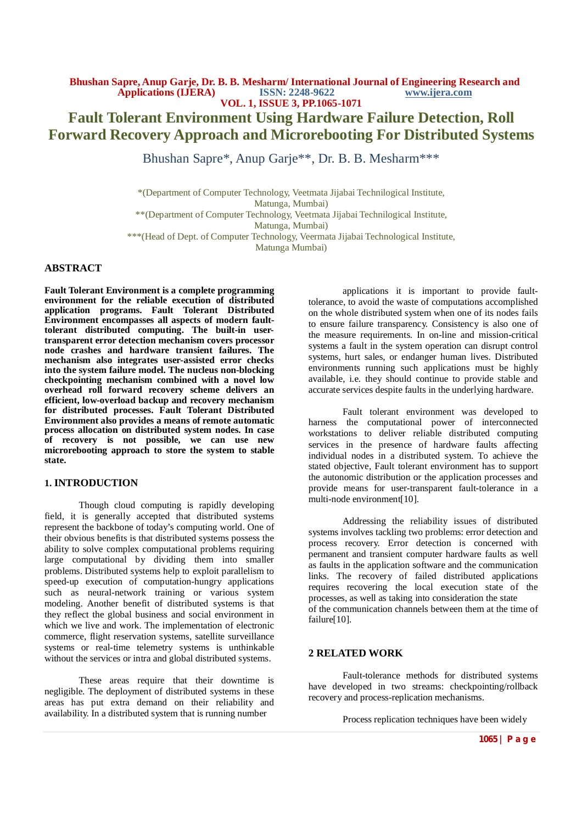# **Fault Tolerant Environment Using Hardware Failure Detection, Roll Forward Recovery Approach and Microrebooting For Distributed Systems**

Bhushan Sapre\*, Anup Garje\*\*, Dr. B. B. Mesharm\*\*\*

\*(Department of Computer Technology, Veetmata Jijabai Technilogical Institute, Matunga, Mumbai) \*\*(Department of Computer Technology, Veetmata Jijabai Technilogical Institute, Matunga, Mumbai) \*\*\*(Head of Dept. of Computer Technology, Veermata Jijabai Technological Institute, Matunga Mumbai)

# **ABSTRACT**

**Fault Tolerant Environment is a complete programming environment for the reliable execution of distributed application programs. Fault Tolerant Distributed Environment encompasses all aspects of modern faulttolerant distributed computing. The built-in usertransparent error detection mechanism covers processor node crashes and hardware transient failures. The mechanism also integrates user-assisted error checks into the system failure model. The nucleus non-blocking checkpointing mechanism combined with a novel low overhead roll forward recovery scheme delivers an efficient, low-overload backup and recovery mechanism for distributed processes. Fault Tolerant Distributed Environment also provides a means of remote automatic process allocation on distributed system nodes. In case of recovery is not possible, we can use new microrebooting approach to store the system to stable state.**

#### **1. INTRODUCTION**

Though cloud computing is rapidly developing field, it is generally accepted that distributed systems represent the backbone of today's computing world. One of their obvious benefits is that distributed systems possess the ability to solve complex computational problems requiring large computational by dividing them into smaller problems. Distributed systems help to exploit parallelism to speed-up execution of computation-hungry applications such as neural-network training or various system modeling. Another benefit of distributed systems is that they reflect the global business and social environment in which we live and work. The implementation of electronic commerce, flight reservation systems, satellite surveillance systems or real-time telemetry systems is unthinkable without the services or intra and global distributed systems.

These areas require that their downtime is negligible. The deployment of distributed systems in these areas has put extra demand on their reliability and availability. In a distributed system that is running number

applications it is important to provide faulttolerance, to avoid the waste of computations accomplished on the whole distributed system when one of its nodes fails to ensure failure transparency. Consistency is also one of the measure requirements. In on-line and mission-critical systems a fault in the system operation can disrupt control systems, hurt sales, or endanger human lives. Distributed environments running such applications must be highly available, i.e. they should continue to provide stable and accurate services despite faults in the underlying hardware.

Fault tolerant environment was developed to harness the computational power of interconnected workstations to deliver reliable distributed computing services in the presence of hardware faults affecting individual nodes in a distributed system. To achieve the stated objective, Fault tolerant environment has to support the autonomic distribution or the application processes and provide means for user-transparent fault-tolerance in a multi-node environment[10].

Addressing the reliability issues of distributed systems involves tackling two problems: error detection and process recovery. Error detection is concerned with permanent and transient computer hardware faults as well as faults in the application software and the communication links. The recovery of failed distributed applications requires recovering the local execution state of the processes, as well as taking into consideration the state of the communication channels between them at the time of failure[10].

#### **2 RELATED WORK**

Fault-tolerance methods for distributed systems have developed in two streams: checkpointing/rollback recovery and process-replication mechanisms.

Process replication techniques have been widely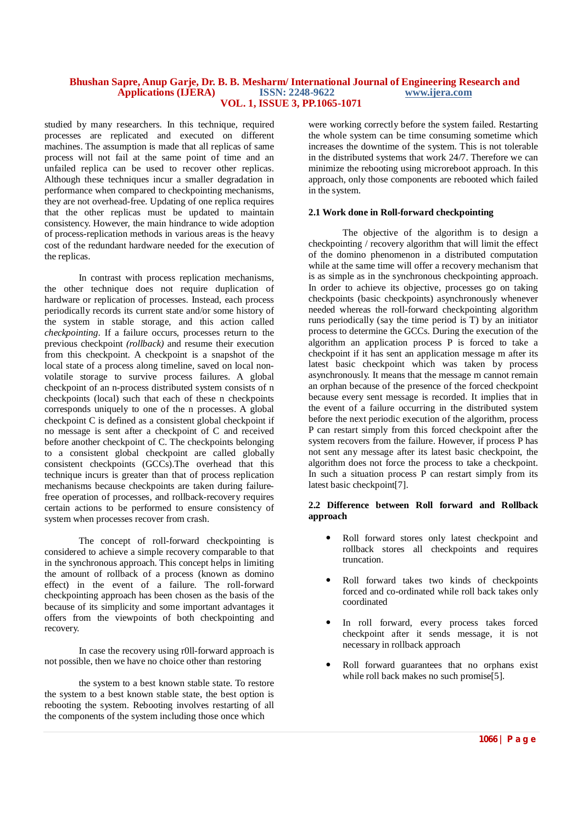studied by many researchers. In this technique, required processes are replicated and executed on different machines. The assumption is made that all replicas of same process will not fail at the same point of time and an unfailed replica can be used to recover other replicas. Although these techniques incur a smaller degradation in performance when compared to checkpointing mechanisms, they are not overhead-free. Updating of one replica requires that the other replicas must be updated to maintain consistency. However, the main hindrance to wide adoption of process-replication methods in various areas is the heavy cost of the redundant hardware needed for the execution of the replicas.

In contrast with process replication mechanisms, the other technique does not require duplication of hardware or replication of processes. Instead, each process periodically records its current state and/or some history of the system in stable storage, and this action called *checkpointing.* If a failure occurs, processes return to the previous checkpoint *(rollback)* and resume their execution from this checkpoint. A checkpoint is a snapshot of the local state of a process along timeline, saved on local nonvolatile storage to survive process failures. A global checkpoint of an n-process distributed system consists of n checkpoints (local) such that each of these n checkpoints corresponds uniquely to one of the n processes. A global checkpoint C is defined as a consistent global checkpoint if no message is sent after a checkpoint of C and received before another checkpoint of C. The checkpoints belonging to a consistent global checkpoint are called globally consistent checkpoints (GCCs).The overhead that this technique incurs is greater than that of process replication mechanisms because checkpoints are taken during failurefree operation of processes, and rollback-recovery requires certain actions to be performed to ensure consistency of system when processes recover from crash.

The concept of roll-forward checkpointing is considered to achieve a simple recovery comparable to that in the synchronous approach. This concept helps in limiting the amount of rollback of a process (known as domino effect) in the event of a failure. The roll-forward checkpointing approach has been chosen as the basis of the because of its simplicity and some important advantages it offers from the viewpoints of both checkpointing and recovery.

In case the recovery using r0ll-forward approach is not possible, then we have no choice other than restoring

the system to a best known stable state. To restore the system to a best known stable state, the best option is rebooting the system. Rebooting involves restarting of all the components of the system including those once which

were working correctly before the system failed. Restarting the whole system can be time consuming sometime which increases the downtime of the system. This is not tolerable in the distributed systems that work 24/7. Therefore we can minimize the rebooting using microreboot approach. In this approach, only those components are rebooted which failed in the system.

#### **2.1 Work done in Roll-forward checkpointing**

The objective of the algorithm is to design a checkpointing / recovery algorithm that will limit the effect of the domino phenomenon in a distributed computation while at the same time will offer a recovery mechanism that is as simple as in the synchronous checkpointing approach. In order to achieve its objective, processes go on taking checkpoints (basic checkpoints) asynchronously whenever needed whereas the roll-forward checkpointing algorithm runs periodically (say the time period is T) by an initiator process to determine the GCCs. During the execution of the algorithm an application process P is forced to take a checkpoint if it has sent an application message m after its latest basic checkpoint which was taken by process asynchronously. It means that the message m cannot remain an orphan because of the presence of the forced checkpoint because every sent message is recorded. It implies that in the event of a failure occurring in the distributed system before the next periodic execution of the algorithm, process P can restart simply from this forced checkpoint after the system recovers from the failure. However, if process P has not sent any message after its latest basic checkpoint, the algorithm does not force the process to take a checkpoint. In such a situation process  $\overline{P}$  can restart simply from its latest basic checkpoint[7].

#### **2.2 Difference between Roll forward and Rollback approach**

- Roll forward stores only latest checkpoint and rollback stores all checkpoints and requires truncation.
- Roll forward takes two kinds of checkpoints forced and co-ordinated while roll back takes only coordinated
- In roll forward, every process takes forced checkpoint after it sends message, it is not necessary in rollback approach
- Roll forward guarantees that no orphans exist while roll back makes no such promise<sup>[5]</sup>.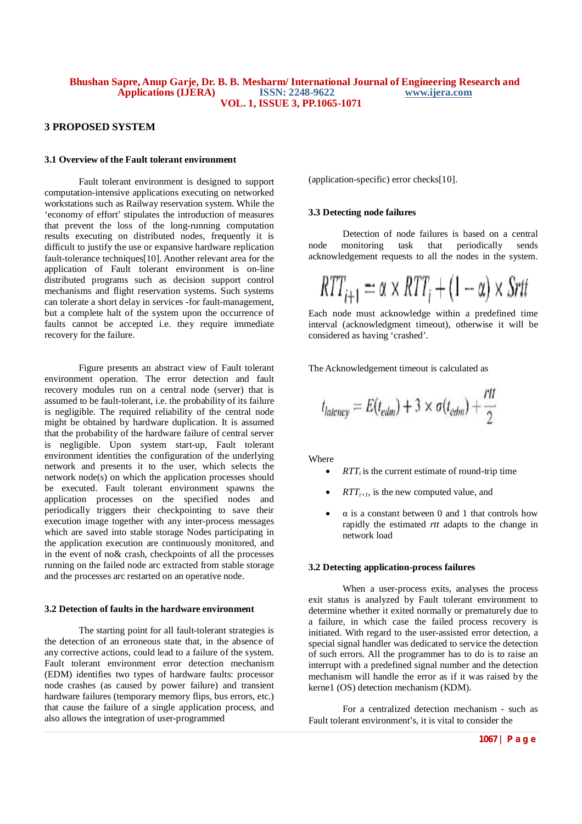#### **3 PROPOSED SYSTEM**

#### **3.1 Overview of the Fault tolerant environment**

Fault tolerant environment is designed to support computation-intensive applications executing on networked workstations such as Railway reservation system. While the 'economy of effort' stipulates the introduction of measures that prevent the loss of the long-running computation results executing on distributed nodes, frequently it is difficult to justify the use or expansive hardware replication fault-tolerance techniques<sup>[10]</sup>. Another relevant area for the application of Fault tolerant environment is on-line distributed programs such as decision support control mechanisms and flight reservation systems. Such systems can tolerate a short delay in services -for fault-management, but a complete halt of the system upon the occurrence of faults cannot be accepted i.e. they require immediate recovery for the failure.

Figure presents an abstract view of Fault tolerant environment operation. The error detection and fault recovery modules run on a central node (server) that is assumed to be fault-tolerant, i.e. the probability of its failure is negligible. The required reliability of the central node might be obtained by hardware duplication. It is assumed that the probability of the hardware failure of central server is negligible. Upon system start-up, Fault tolerant environment identities the configuration of the underlying network and presents it to the user, which selects the network node(s) on which the application processes should be executed. Fault tolerant environment spawns the application processes on the specified nodes and periodically triggers their checkpointing to save their execution image together with any inter-process messages which are saved into stable storage Nodes participating in the application execution are continuously monitored, and in the event of no& crash, checkpoints of all the processes running on the failed node arc extracted from stable storage and the processes arc restarted on an operative node.

#### **3.2 Detection of faults in the hardware environment**

The starting point for all fault-tolerant strategies is the detection of an erroneous state that, in the absence of any corrective actions, could lead to a failure of the system. Fault tolerant environment error detection mechanism (EDM) identifies two types of hardware faults: processor node crashes (as caused by power failure) and transient hardware failures (temporary memory flips, bus errors, etc.) that cause the failure of a single application process, and also allows the integration of user-programmed

(application-specific) error checks[10].

## **3.3 Detecting node failures**

Detection of node failures is based on a central<br>monitoring task that periodically sends node monitoring task that periodically sends acknowledgement requests to all the nodes in the system.

$$
RTT_{i+1} = \alpha \times RTT_i + (1 - \alpha) \times Srtt
$$

Each node must acknowledge within a predefined time interval (acknowledgment timeout), otherwise it will be considered as having 'crashed'.

The Acknowledgement timeout is calculated as

$$
t_{latency} = E(t_{edm}) + 3 \times \sigma(t_{edm}) + \frac{rtt}{2}
$$

Where

- $RTT_i$  is the current estimate of round-trip time
- $RTT_{i+1}$ *,* is the new computed value, and
- $\alpha$  is a constant between 0 and 1 that controls how rapidly the estimated *rtt* adapts to the change in network load

## **3.2 Detecting application-process failures**

When a user-process exits, analyses the process exit status is analyzed by Fault tolerant environment to determine whether it exited normally or prematurely due to a failure, in which case the failed process recovery is initiated. With regard to the user-assisted error detection, a special signal handler was dedicated to service the detection of such errors*.* All the programmer has to do is to raise an interrupt with a predefined signal number and the detection mechanism will handle the error as if it was raised by the kerne1 (OS) detection mechanism (KDM).

For a centralized detection mechanism - such as Fault tolerant environment's, it is vital to consider the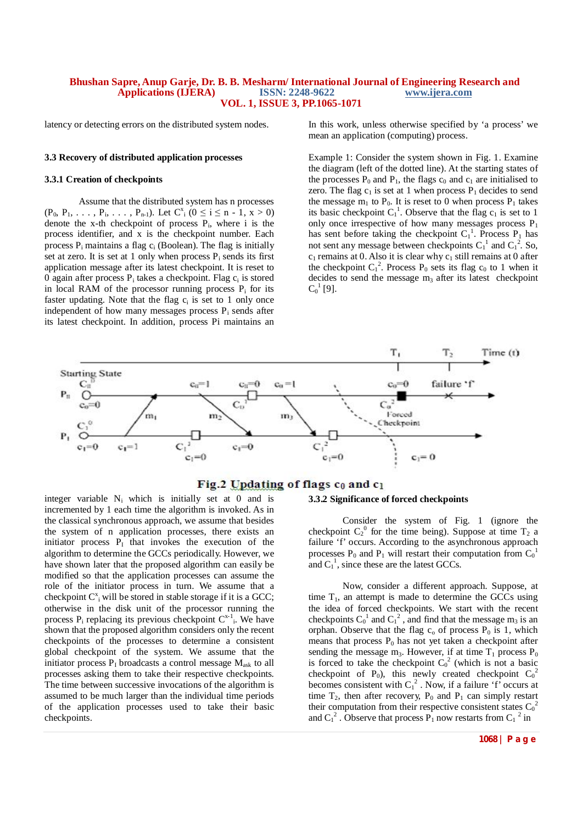latency or detecting errors on the distributed system nodes.

## **3.3 Recovery of distributed application processes**

#### **3.3.1 Creation of checkpoints**

Assume that the distributed system has n processes  $(P_0, P_1, \ldots, P_i, \ldots, P_{n-1})$ . Let  $C_{i}^{x}$   $(0 \le i \le n-1, x > 0)$ denote the x-th checkpoint of process  $P_i$ , where i is the process identifier, and x is the checkpoint number. Each process  $P_i$  maintains a flag  $c_i$  (Boolean). The flag is initially set at zero. It is set at 1 only when process  $P_i$  sends its first application message after its latest checkpoint. It is reset to 0 again after process  $P_i$  takes a checkpoint. Flag  $c_i$  is stored in local RAM of the processor running process  $P_i$  for its faster updating. Note that the flag  $c_i$  is set to 1 only once independent of how many messages process  $P_i$  sends after its latest checkpoint. In addition, process Pi maintains an

In this work, unless otherwise specified by 'a process' we mean an application (computing) process.

Example 1: Consider the system shown in Fig. 1. Examine the diagram (left of the dotted line). At the starting states of the processes  $P_0$  and  $P_1$ , the flags  $c_0$  and  $c_1$  are initialised to zero. The flag  $c_1$  is set at 1 when process  $P_1$  decides to send the message  $m_1$  to  $P_0$ . It is reset to 0 when process  $P_1$  takes its basic checkpoint  $C_1^1$ . Observe that the flag  $c_1$  is set to 1 only once irrespective of how many messages process  $P_1$ has sent before taking the checkpoint  $C_1^1$ . Process P<sub>1</sub> has not sent any message between checkpoints  $C_1^1$  and  $C_1^2$ . So,  $c_1$  remains at 0. Also it is clear why  $c_1$  still remains at 0 after the checkpoint  $C_1^2$ . Process  $P_0$  sets its flag  $c_0$  to 1 when it decides to send the message  $m_3$  after its latest checkpoint  $C_0^{\ 1}$  [9].



# Fig.2 Updating of flags co and c1

integer variable  $N_i$  which is initially set at 0 and is incremented by 1 each time the algorithm is invoked. As in the classical synchronous approach, we assume that besides the system of n application processes, there exists an initiator process  $P<sub>I</sub>$  that invokes the execution of the algorithm to determine the GCCs periodically. However, we have shown later that the proposed algorithm can easily be modified so that the application processes can assume the role of the initiator process in turn. We assume that a checkpoint  $C^x$ <sub>i</sub> will be stored in stable storage if it is a GCC; otherwise in the disk unit of the processor running the process  $P_i$  replacing its previous checkpoint  $C^{x-1}$ . We have shown that the proposed algorithm considers only the recent checkpoints of the processes to determine a consistent global checkpoint of the system. We assume that the initiator process  $P_1$  broadcasts a control message  $M_{ask}$  to all processes asking them to take their respective checkpoints. The time between successive invocations of the algorithm is assumed to be much larger than the individual time periods of the application processes used to take their basic checkpoints.

#### **3.3.2 Significance of forced checkpoints**

Consider the system of Fig. 1 (ignore the checkpoint  $C_2^0$  for the time being). Suppose at time  $T_2$  a failure 'f' occurs. According to the asynchronous approach processes  $P_0$  and  $P_1$  will restart their computation from  $C_0^{\ 1}$ and  $C_1^1$ , since these are the latest GCCs.

Now, consider a different approach. Suppose, at time  $T_1$ , an attempt is made to determine the GCCs using the idea of forced checkpoints. We start with the recent checkpoints  $C_0^1$  and  $C_1^2$ , and find that the message m<sub>3</sub> is an orphan. Observe that the flag  $c_0$  of process  $P_0$  is 1, which means that process  $P_0$  has not yet taken a checkpoint after sending the message  $m_3$ . However, if at time  $T_1$  process  $P_0$ is forced to take the checkpoint  $C_0^2$  (which is not a basic checkpoint of P<sub>0</sub>), this newly created checkpoint  $C_0^2$ becomes consistent with  $C_1^2$ . Now, if a failure 'f' occurs at time  $T_2$ , then after recovery,  $P_0$  and  $P_1$  can simply restart their computation from their respective consistent states  $C_0^2$ and  $C_1^2$ . Observe that process  $P_1$  now restarts from  $C_1^2$  in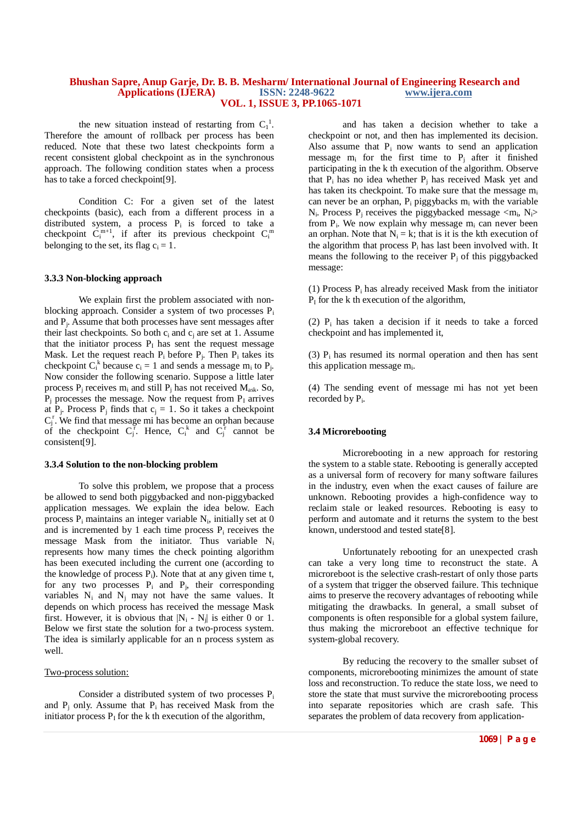the new situation instead of restarting from  $C_1^1$ . Therefore the amount of rollback per process has been reduced. Note that these two latest checkpoints form a recent consistent global checkpoint as in the synchronous approach. The following condition states when a process has to take a forced checkpoint[9].

Condition C: For a given set of the latest checkpoints (basic), each from a different process in a distributed system, a process  $P_i$  is forced to take a checkpoint  $C_i^{m+1}$ , if after its previous checkpoint  $C_i^m$ belonging to the set, its flag  $c_i = 1$ .

#### **3.3.3 Non-blocking approach**

We explain first the problem associated with nonblocking approach. Consider a system of two processes  $P_i$ and P<sup>j</sup> . Assume that both processes have sent messages after their last checkpoints. So both  $c_i$  and  $c_i$  are set at 1. Assume that the initiator process  $P<sub>I</sub>$  has sent the request message Mask. Let the request reach  $P_i$  before  $P_j$ . Then  $P_i$  takes its checkpoint  $C_i^k$  because  $c_i = 1$  and sends a message  $m_i$  to  $P_j$ . Now consider the following scenario. Suppose a little later process  $P_i$  receives  $m_i$  and still  $P_i$  has not received  $M_{ask}$ . So,  $P_i$  processes the message. Now the request from  $P_i$  arrives at  $P_j$ . Process  $P_j$  finds that  $c_j = 1$ . So it takes a checkpoint  $C_j^r$ . We find that message mi has become an orphan because of the checkpoint  $C_j^r$ . Hence,  $C_i^k$  and  $C_j^r$  cannot be consistent[9].

#### **3.3.4 Solution to the non-blocking problem**

To solve this problem, we propose that a process be allowed to send both piggybacked and non-piggybacked application messages. We explain the idea below. Each process  $P_i$  maintains an integer variable  $N_i$ , initially set at 0 and is incremented by 1 each time process  $P_i$  receives the message Mask from the initiator. Thus variable N<sup>i</sup> represents how many times the check pointing algorithm has been executed including the current one (according to the knowledge of process  $P_i$ ). Note that at any given time t, for any two processes  $P_i$  and  $P_i$ , their corresponding variables  $N_i$  and  $N_i$  may not have the same values. It depends on which process has received the message Mask first. However, it is obvious that  $|N_i - N_j|$  is either 0 or 1. Below we first state the solution for a two-process system. The idea is similarly applicable for an n process system as well.

#### Two-process solution:

Consider a distributed system of two processes  $P_i$ and  $P_i$  only. Assume that  $P_i$  has received Mask from the initiator process  $P<sub>I</sub>$  for the k th execution of the algorithm,

and has taken a decision whether to take a checkpoint or not, and then has implemented its decision. Also assume that  $P_i$  now wants to send an application message  $m_i$  for the first time to  $P_i$  after it finished participating in the k th execution of the algorithm. Observe that  $P_i$  has no idea whether  $P_i$  has received Mask yet and has taken its checkpoint. To make sure that the message  $m_i$ can never be an orphan,  $P_i$  piggybacks  $m_i$  with the variable  $N_i$ . Process  $P_j$  receives the piggybacked message  $\langle m_i, N_i \rangle$ from  $P_i$ . We now explain why message  $m_i$  can never been an orphan. Note that  $N_i = k$ ; that is it is the kth execution of the algorithm that process  $P_i$  has last been involved with. It means the following to the receiver  $P_i$  of this piggybacked message:

 $(1)$  Process P<sub>i</sub> has already received Mask from the initiator  $P<sub>I</sub>$  for the k th execution of the algorithm,

(2)  $P_i$  has taken a decision if it needs to take a forced checkpoint and has implemented it,

(3)  $P_i$  has resumed its normal operation and then has sent this application message m<sub>i</sub>.

(4) The sending event of message mi has not yet been recorded by P<sub>i</sub>.

#### **3.4 Microrebooting**

Microrebooting in a new approach for restoring the system to a stable state. Rebooting is generally accepted as a universal form of recovery for many software failures in the industry, even when the exact causes of failure are unknown. Rebooting provides a high-confidence way to reclaim stale or leaked resources. Rebooting is easy to perform and automate and it returns the system to the best known, understood and tested state[8].

Unfortunately rebooting for an unexpected crash can take a very long time to reconstruct the state. A microreboot is the selective crash-restart of only those parts of a system that trigger the observed failure. This technique aims to preserve the recovery advantages of rebooting while mitigating the drawbacks. In general, a small subset of components is often responsible for a global system failure, thus making the microreboot an effective technique for system-global recovery.

By reducing the recovery to the smaller subset of components, microrebooting minimizes the amount of state loss and reconstruction. To reduce the state loss, we need to store the state that must survive the microrebooting process into separate repositories which are crash safe. This separates the problem of data recovery from application-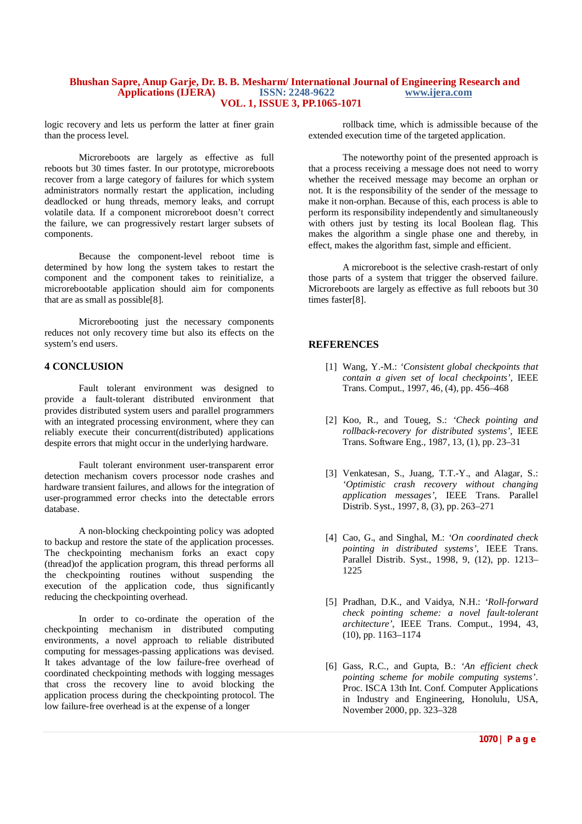logic recovery and lets us perform the latter at finer grain than the process level.

Microreboots are largely as effective as full reboots but 30 times faster. In our prototype, microreboots recover from a large category of failures for which system administrators normally restart the application, including deadlocked or hung threads, memory leaks, and corrupt volatile data. If a component microreboot doesn't correct the failure, we can progressively restart larger subsets of components.

Because the component-level reboot time is determined by how long the system takes to restart the component and the component takes to reinitialize, a microrebootable application should aim for components that are as small as possible[8].

Microrebooting just the necessary components reduces not only recovery time but also its effects on the system's end users.

## **4 CONCLUSION**

Fault tolerant environment was designed to provide a fault-tolerant distributed environment that provides distributed system users and parallel programmers with an integrated processing environment, where they can reliably execute their concurrent(distributed) applications despite errors that might occur in the underlying hardware.

Fault tolerant environment user-transparent error detection mechanism covers processor node crashes and hardware transient failures, and allows for the integration of user-programmed error checks into the detectable errors database.

A non-blocking checkpointing policy was adopted to backup and restore the state of the application processes. The checkpointing mechanism forks an exact copy (thread)of the application program, this thread performs all the checkpointing routines without suspending the execution of the application code, thus significantly reducing the checkpointing overhead.

In order to co-ordinate the operation of the checkpointing mechanism in distributed computing environments, a novel approach to reliable distributed computing for messages-passing applications was devised. It takes advantage of the low failure-free overhead of coordinated checkpointing methods with logging messages that cross the recovery line to avoid blocking the application process during the checkpointing protocol. The low failure-free overhead is at the expense of a longer

rollback time, which is admissible because of the extended execution time of the targeted application.

The noteworthy point of the presented approach is that a process receiving a message does not need to worry whether the received message may become an orphan or not. It is the responsibility of the sender of the message to make it non-orphan. Because of this, each process is able to perform its responsibility independently and simultaneously with others just by testing its local Boolean flag. This makes the algorithm a single phase one and thereby, in effect, makes the algorithm fast, simple and efficient.

A microreboot is the selective crash-restart of only those parts of a system that trigger the observed failure. Microreboots are largely as effective as full reboots but 30 times faster[8].

# **REFERENCES**

- [1] Wang, Y.-M.: *'Consistent global checkpoints that contain a given set of local checkpoints'*, IEEE Trans. Comput., 1997, 46, (4), pp. 456–468
- [2] Koo, R., and Toueg, S.: *'Check pointing and rollback-recovery for distributed systems'*, IEEE Trans. Software Eng., 1987, 13, (1), pp. 23–31
- [3] Venkatesan, S., Juang, T.T.-Y., and Alagar, S.: *'Optimistic crash recovery without changing application messages'*, IEEE Trans. Parallel Distrib. Syst., 1997, 8, (3), pp. 263–271
- [4] Cao, G., and Singhal, M.: *'On coordinated check pointing in distributed systems'*, IEEE Trans. Parallel Distrib. Syst., 1998, 9, (12), pp. 1213– 1225
- [5] Pradhan, D.K., and Vaidya, N.H.: *'Roll-forward check pointing scheme: a novel fault-tolerant architecture'*, IEEE Trans. Comput., 1994, 43, (10), pp. 1163–1174
- [6] Gass, R.C., and Gupta, B.: *'An efficient check pointing scheme for mobile computing systems'*. Proc. ISCA 13th Int. Conf. Computer Applications in Industry and Engineering, Honolulu, USA, November 2000, pp. 323–328